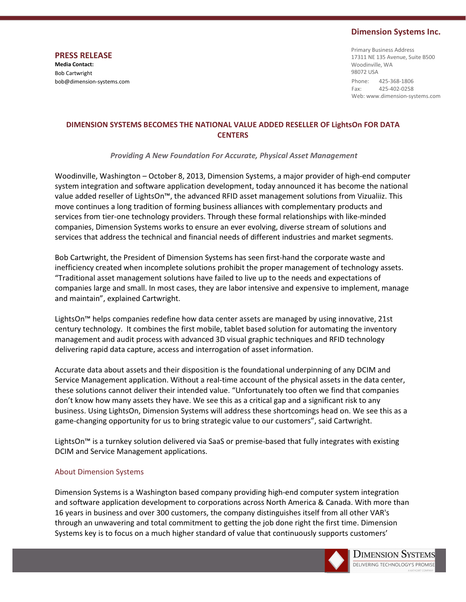## Dimension Systems Inc.

PRESS RELEASE Media Contact: Bob Cartwright bob@dimension-systems.com Phone: 425-368-1806

Fax: 425-402-0258 Web: www.dimension-systems.com Primary Business Address 17311 NE 135 Avenue, Suite B500 Woodinville, WA 98072 USA

## DIMENSION SYSTEMS BECOMES THE NATIONAL VALUE ADDED RESELLER OF LightsOn FOR DATA **CENTERS**

Providing A New Foundation For Accurate, Physical Asset Management

Woodinville, Washington – October 8, 2013, Dimension Systems, a major provider of high-end computer system integration and software application development, today announced it has become the national value added reseller of LightsOn™, the advanced RFID asset management solutions from Vizualiiz. This move continues a long tradition of forming business alliances with complementary products and services from tier-one technology providers. Through these formal relationships with like-minded companies, Dimension Systems works to ensure an ever evolving, diverse stream of solutions and services that address the technical and financial needs of different industries and market segments.

Bob Cartwright, the President of Dimension Systems has seen first-hand the corporate waste and inefficiency created when incomplete solutions prohibit the proper management of technology assets. "Traditional asset management solutions have failed to live up to the needs and expectations of companies large and small. In most cases, they are labor intensive and expensive to implement, manage and maintain", explained Cartwright.

LightsOn™ helps companies redefine how data center assets are managed by using innovative, 21st century technology. It combines the first mobile, tablet based solution for automating the inventory management and audit process with advanced 3D visual graphic techniques and RFID technology delivering rapid data capture, access and interrogation of asset information.

Accurate data about assets and their disposition is the foundational underpinning of any DCIM and Service Management application. Without a real-time account of the physical assets in the data center, these solutions cannot deliver their intended value. "Unfortunately too often we find that companies don't know how many assets they have. We see this as a critical gap and a significant risk to any business. Using LightsOn, Dimension Systems will address these shortcomings head on. We see this as a game-changing opportunity for us to bring strategic value to our customers", said Cartwright.

LightsOn™ is a turnkey solution delivered via SaaS or premise-based that fully integrates with existing DCIM and Service Management applications.

## About Dimension Systems

Dimension Systems is a Washington based company providing high-end computer system integration and software application development to corporations across North America & Canada. With more than 16 years in business and over 300 customers, the company distinguishes itself from all other VAR's through an unwavering and total commitment to getting the job done right the first time. Dimension Systems key is to focus on a much higher standard of value that continuously supports customers'